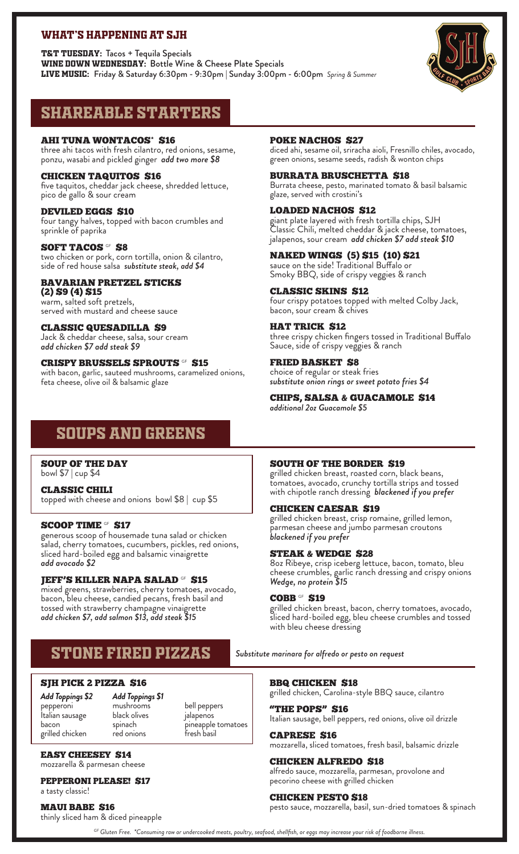# WHAT'S HAPPENING AT SJH

T&T TUESDAY: Tacos + Tequila Specials WINE DOWN WEDNESDAY: Bottle Wine & Cheese Plate Specials Live Music: Friday & Saturday 6:30pm - 9:30pm | Sunday 3:00pm - 6:00pm *Spring & Summer*



# Shareable Starters

**AHI TUNA WONTACOS\* \$16** three ahi tacos with fresh cilantro, red onions, sesame, ponzu, wasabi and pickled ginger *add two more \$8*

#### CHICKEN TAQUITOS \$16 five taquitos, cheddar jack cheese, shredded lettuce, pico de gallo & sour cream

DEVILED EGGS \$10 four tangy halves, topped with bacon crumbles and sprinkle of paprika

#### SOFT TACOS <sup>GF</sup> \$8 two chicken or pork, corn tortilla, onion & cilantro, side of red house salsa *substitute steak, add \$4*

BAVARIAN PRETZEL STICKS (2) \$9 (4) \$15 warm, salted soft pretzels, served with mustard and cheese sauce

CLASSIC QUESADILLA \$9 Jack & cheddar cheese, salsa, sour cream *add chicken \$7 add steak \$9*

CRISPY BRUSSELS SPROUTS <sup>GF</sup> \$15 with bacon, garlic, sauteed mushrooms, caramelized onions, feta cheese, olive oil & balsamic glaze

## POKE NACHOS \$27

diced ahi, sesame oil, sriracha aioli, Fresnillo chiles, avocado, green onions, sesame seeds, radish & wonton chips

BURRATA BRUSCHETTA \$18 Burrata cheese, pesto, marinated tomato & basil balsamic glaze, served with crostini's

LOADED NACHOS \$12 giant plate layered with fresh tortilla chips, SJH Classic Chili, melted cheddar & jack cheese, tomatoes, jalapenos, sour cream *add chicken \$7 add steak \$10*

NAKED WINGS (5) \$15 (10) \$21 sauce on the side! Traditional Buffalo or Smoky BBQ, side of crispy veggies & ranch

CLASSIC SKINS \$12 four crispy potatoes topped with melted Colby Jack, bacon, sour cream & chives

HAT TRICK \$12 three crispy chicken fingers tossed in Traditional Buffalo Sauce, side of crispy veggies & ranch

FRIED BASKET \$8 choice of regular or steak fries *substitute onion rings or sweet potato fries \$4*

CHIPS, SALSA & GUACAMOLE \$14 *additional 2oz Guacamole \$5*

# Soups and Greens

SOUP OF THE DAY bowl \$7 | cup \$4

CLASSIC CHILI topped with cheese and onions bowl \$8 | cup \$5

## SCOOP TIME GF \$17

generous scoop of housemade tuna salad or chicken salad, cherry tomatoes, cucumbers, pickles, red onions, sliced hard-boiled egg and balsamic vinaigrette *add avocado \$2*

## JEFF'S KILLER NAPA SALAD GF \$15

mixed greens, strawberries, cherry tomatoes, avocado, bacon, bleu cheese, candied pecans, fresh basil and tossed with strawberry champagne vinaigrette *add chicken \$7, add salmon \$13, add steak \$15* 

# STONE FIRED PIZZAS *Substitute marinara for alfredo or pesto on request*

# SJH PICK 2 PIZZA \$16

*Add Toppings \$2*  pepperoni Italian sausage bacon grilled chicken

*Add Toppings \$1* mushrooms black olives spinach red onions

bell peppers jalapenos pineapple tomatoes fresh basil

EASY CHEESEY \$14 mozzarella & parmesan cheese

PEPPERONI PLEASE! \$17

a tasty classic!

MAUI BABE \$16

thinly sliced ham & diced pineapple

# SOUTH OF THE BORDER \$19

grilled chicken breast, roasted corn, black beans, tomatoes, avocado, crunchy tortilla strips and tossed with chipotle ranch dressing *blackened if you prefer*

## CHICKEN CAESAR \$19

grilled chicken breast, crisp romaine, grilled lemon, parmesan cheese and jumbo parmesan croutons *blackened if you prefer*

# STEAK & WEDGE \$28

8oz Ribeye, crisp iceberg lettuce, bacon, tomato, bleu cheese crumbles, garlic ranch dressing and crispy onions *Wedge, no protein \$15*

## **COBB** GF \$19

grilled chicken breast, bacon, cherry tomatoes, avocado, sliced hard-boiled egg, bleu cheese crumbles and tossed with bleu cheese dressing

## BBQ CHICKEN \$18

grilled chicken, Carolina-style BBQ sauce, cilantro

"THE POPS" \$16 Italian sausage, bell peppers, red onions, olive oil drizzle

**CAPRESE S16** mozzarella, sliced tomatoes, fresh basil, balsamic drizzle

CHICKEN ALFREDO \$18 alfredo sauce, mozzarella, parmesan, provolone and pecorino cheese with grilled chicken

CHICKEN PESTO \$18 pesto sauce, mozzarella, basil, sun-dried tomatoes & spinach

*gf Gluten Free. \*Consuming raw or undercooked meats, poultry, seafood, shellfish, or eggs may increase your risk of foodborne illness.*